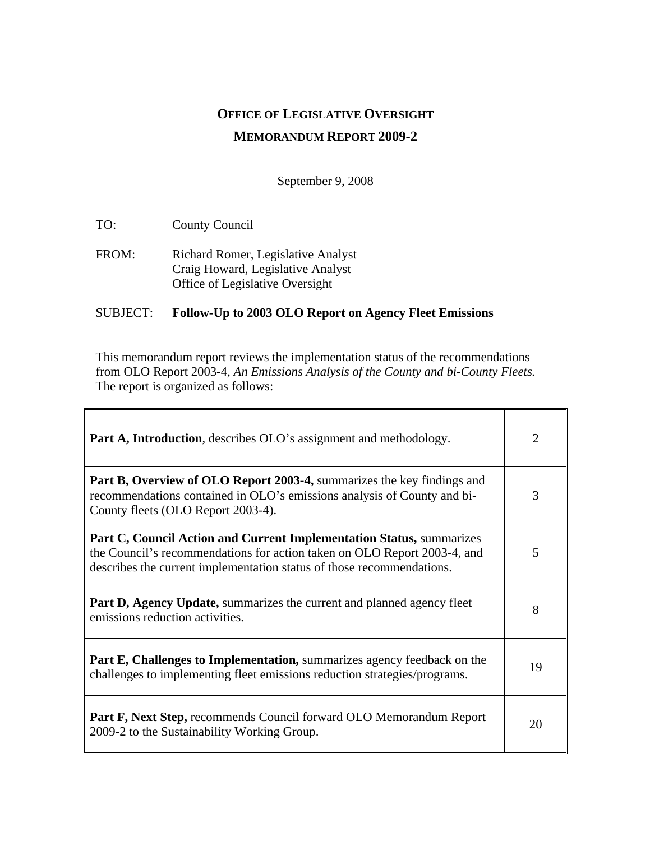# **OFFICE OF LEGISLATIVE OVERSIGHT MEMORANDUM REPORT 2009-2**

September 9, 2008

TO: County Council

 $\mathbf{r}$ 

FROM: Richard Romer, Legislative Analyst Craig Howard, Legislative Analyst Office of Legislative Oversight

#### SUBJECT: **Follow-Up to 2003 OLO Report on Agency Fleet Emissions**

This memorandum report reviews the implementation status of the recommendations from OLO Report 2003-4, *An Emissions Analysis of the County and bi-County Fleets.* The report is organized as follows:

| <b>Part A, Introduction</b> , describes OLO's assignment and methodology.                                                                                                                                                        |    |
|----------------------------------------------------------------------------------------------------------------------------------------------------------------------------------------------------------------------------------|----|
| <b>Part B, Overview of OLO Report 2003-4, summarizes the key findings and</b><br>recommendations contained in OLO's emissions analysis of County and bi-<br>County fleets (OLO Report 2003-4).                                   |    |
| <b>Part C, Council Action and Current Implementation Status, summarizes</b><br>the Council's recommendations for action taken on OLO Report 2003-4, and<br>describes the current implementation status of those recommendations. |    |
| <b>Part D, Agency Update, summarizes the current and planned agency fleet</b><br>emissions reduction activities.                                                                                                                 |    |
| <b>Part E, Challenges to Implementation, summarizes agency feedback on the</b><br>challenges to implementing fleet emissions reduction strategies/programs.                                                                      | 19 |
| <b>Part F, Next Step, recommends Council forward OLO Memorandum Report</b><br>2009-2 to the Sustainability Working Group.                                                                                                        | 20 |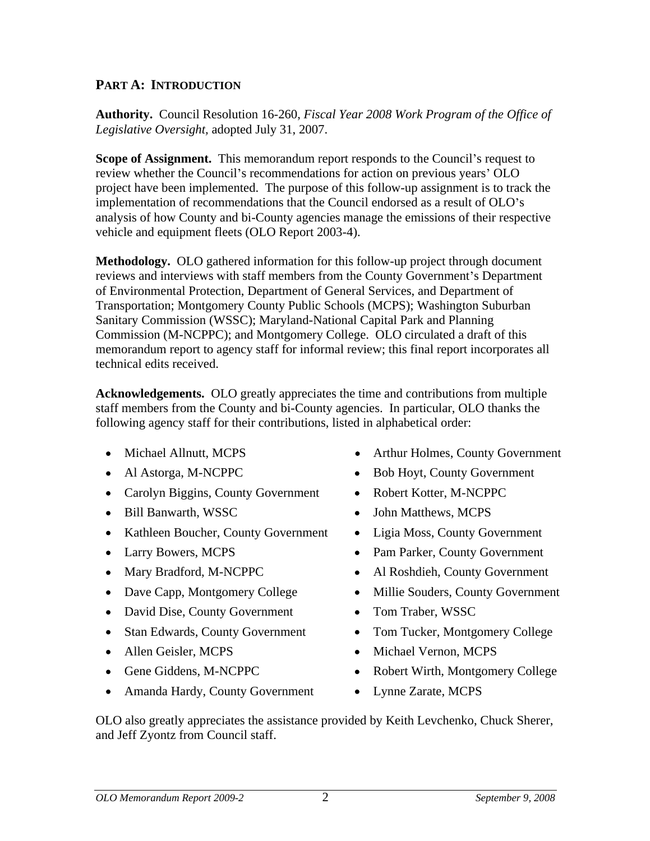## **PART A: INTRODUCTION**

**Authority.** Council Resolution 16-260, *Fiscal Year 2008 Work Program of the Office of Legislative Oversight,* adopted July 31, 2007.

**Scope of Assignment.** This memorandum report responds to the Council's request to review whether the Council's recommendations for action on previous years' OLO project have been implemented. The purpose of this follow-up assignment is to track the implementation of recommendations that the Council endorsed as a result of OLO's analysis of how County and bi-County agencies manage the emissions of their respective vehicle and equipment fleets (OLO Report 2003-4).

**Methodology.** OLO gathered information for this follow-up project through document reviews and interviews with staff members from the County Government's Department of Environmental Protection, Department of General Services, and Department of Transportation; Montgomery County Public Schools (MCPS); Washington Suburban Sanitary Commission (WSSC); Maryland-National Capital Park and Planning Commission (M-NCPPC); and Montgomery College. OLO circulated a draft of this memorandum report to agency staff for informal review; this final report incorporates all technical edits received.

**Acknowledgements.** OLO greatly appreciates the time and contributions from multiple staff members from the County and bi-County agencies. In particular, OLO thanks the following agency staff for their contributions, listed in alphabetical order:

- 
- 
- Carolyn Biggins, County Government Robert Kotter, M-NCPPC
- 
- Kathleen Boucher, County Government
- 
- 
- 
- David Dise, County Government Tom Traber, WSSC
- 
- 
- 
- Amanda Hardy, County Government Lynne Zarate, MCPS
- Michael Allnutt, MCPS Arthur Holmes, County Government
- Al Astorga, M-NCPPC  $\bullet$  Bob Hoyt, County Government • Bob Hoyt, County Government
	- Robert Kotter, M-NCPPC
- Bill Banwarth, WSSC **•** John Matthews, MCPS John Matthews, MCPS
	- Ligia Moss, County Government
- Larry Bowers, MCPS Pam Parker, County Government
- Mary Bradford, M-NCPPC Al Roshdieh, County Government
- Dave Capp, Montgomery College Millie Souders, County Government
	- Tom Traber, WSSC
- Stan Edwards, County Government Tom Tucker, Montgomery College
- Allen Geisler, MCPS Michael Vernon, MCPS Michael Vernon, MCPS
- Gene Giddens, M-NCPPC  $\bullet$  Robert Wirth, Montgomery College
	- Lynne Zarate, MCPS

OLO also greatly appreciates the assistance provided by Keith Levchenko, Chuck Sherer, and Jeff Zyontz from Council staff.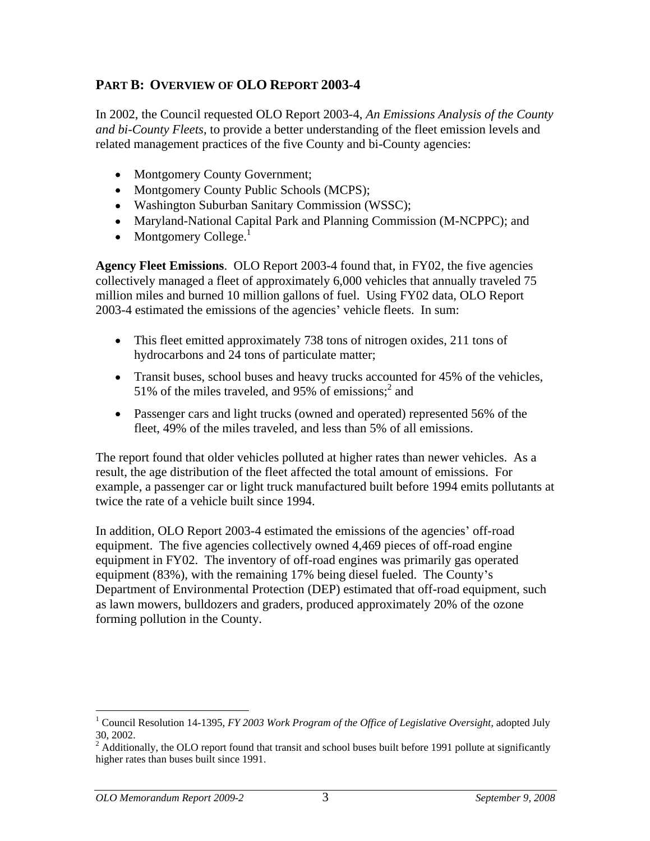## **PART B: OVERVIEW OF OLO REPORT 2003-4**

In 2002, the Council requested OLO Report 2003-4, *An Emissions Analysis of the County and bi-County Fleets*, to provide a better understanding of the fleet emission levels and related management practices of the five County and bi-County agencies:

- Montgomery County Government;
- Montgomery County Public Schools (MCPS):
- Washington Suburban Sanitary Commission (WSSC);
- Maryland-National Capital Park and Planning Commission (M-NCPPC); and
- Montgomery  $\mathrm{Collect}^1$

**Agency Fleet Emissions**. OLO Report 2003-4 found that, in FY02, the five agencies collectively managed a fleet of approximately 6,000 vehicles that annually traveled 75 million miles and burned 10 million gallons of fuel. Using FY02 data, OLO Report 2003-4 estimated the emissions of the agencies' vehicle fleets. In sum:

- This fleet emitted approximately 738 tons of nitrogen oxides, 211 tons of hydrocarbons and 24 tons of particulate matter;
- Transit buses, school buses and heavy trucks accounted for 45% of the vehicles, 51% of the miles traveled, and 95% of emissions;  $2^{2}$  and  $^2$  and and
- Passenger cars and light trucks (owned and operated) represented 56% of the fleet, 49% of the miles traveled, and less than 5% of all emissions.

The report found that older vehicles polluted at higher rates than newer vehicles. As a result, the age distribution of the fleet affected the total amount of emissions. For example, a passenger car or light truck manufactured built before 1994 emits pollutants at twice the rate of a vehicle built since 1994.

In addition, OLO Report 2003-4 estimated the emissions of the agencies' off-road equipment. The five agencies collectively owned 4,469 pieces of off-road engine equipment in FY02. The inventory of off-road engines was primarily gas operated equipment (83%), with the remaining 17% being diesel fueled. The County's Department of Environmental Protection (DEP) estimated that off-road equipment, such as lawn mowers, bulldozers and graders, produced approximately 20% of the ozone forming pollution in the County.

<sup>&</sup>lt;sup>1</sup> Council Resolution 14-1395, *FY 2003 Work Program of the Office of Legislative Oversight*, adopted July

<sup>30, 2002.&</sup>lt;br><sup>2</sup> Additionally, the OLO report found that transit and school buses built before 1991 pollute at significantly higher rates than buses built since 1991.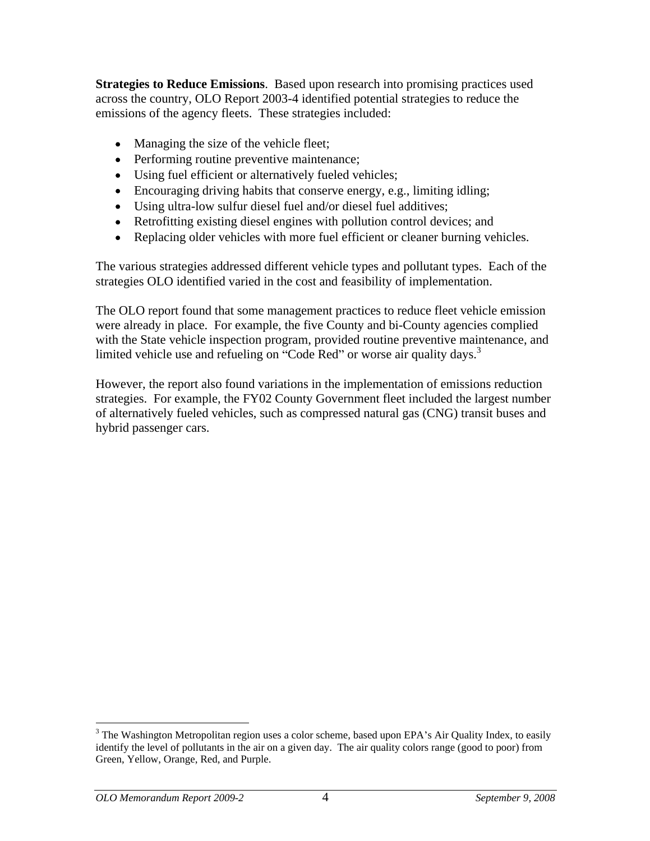**Strategies to Reduce Emissions**. Based upon research into promising practices used across the country, OLO Report 2003-4 identified potential strategies to reduce the emissions of the agency fleets. These strategies included:

- Managing the size of the vehicle fleet;
- Performing routine preventive maintenance;
- Using fuel efficient or alternatively fueled vehicles;
- Encouraging driving habits that conserve energy, e.g., limiting idling;
- Using ultra-low sulfur diesel fuel and/or diesel fuel additives;
- Retrofitting existing diesel engines with pollution control devices; and
- Replacing older vehicles with more fuel efficient or cleaner burning vehicles.

The various strategies addressed different vehicle types and pollutant types. Each of the strategies OLO identified varied in the cost and feasibility of implementation.

The OLO report found that some management practices to reduce fleet vehicle emission were already in place. For example, the five County and bi-County agencies complied with the State vehicle inspection program, provided routine preventive maintenance, and limited vehicle use and refueling on "Code Red" or worse air quality days.<sup>3</sup>

However, the report also found variations in the implementation of emissions reduction strategies. For example, the FY02 County Government fleet included the largest number of alternatively fueled vehicles, such as compressed natural gas (CNG) transit buses and hybrid passenger cars.

<sup>&</sup>lt;sup>3</sup> The Washington Metropolitan region uses a color scheme, based upon EPA's Air Quality Index, to easily identify the level of pollutants in the air on a given day. The air quality colors range (good to poor) from Green, Yellow, Orange, Red, and Purple.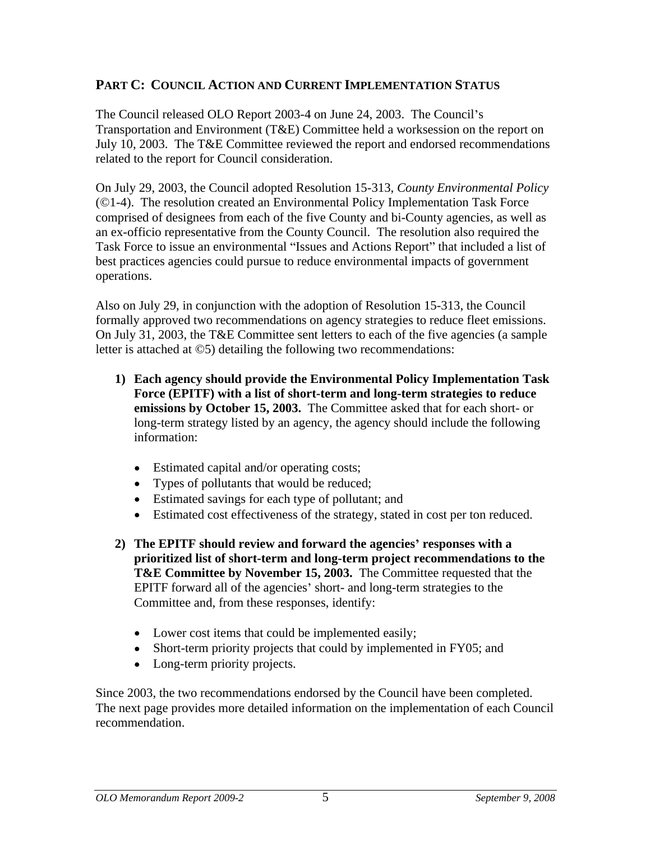## **PART C: COUNCIL ACTION AND CURRENT IMPLEMENTATION STATUS**

The Council released OLO Report 2003-4 on June 24, 2003. The Council's Transportation and Environment (T&E) Committee held a worksession on the report on July 10, 2003. The T&E Committee reviewed the report and endorsed recommendations related to the report for Council consideration.

On July 29, 2003, the Council adopted Resolution 15-313, *County Environmental Policy* (©1-4). The resolution created an Environmental Policy Implementation Task Force comprised of designees from each of the five County and bi-County agencies, as well as an ex-officio representative from the County Council. The resolution also required the Task Force to issue an environmental "Issues and Actions Report" that included a list of best practices agencies could pursue to reduce environmental impacts of government operations.

Also on July 29, in conjunction with the adoption of Resolution 15-313, the Council formally approved two recommendations on agency strategies to reduce fleet emissions. On July 31, 2003, the T&E Committee sent letters to each of the five agencies (a sample letter is attached at ©5) detailing the following two recommendations:

- **1) Each agency should provide the Environmental Policy Implementation Task Force (EPITF) with a list of short-term and long-term strategies to reduce emissions by October 15, 2003.** The Committee asked that for each short- or long-term strategy listed by an agency, the agency should include the following information:
	- Estimated capital and/or operating costs;
	- Types of pollutants that would be reduced;
	- Estimated savings for each type of pollutant; and
	- Estimated cost effectiveness of the strategy, stated in cost per ton reduced.
- **2) The EPITF should review and forward the agencies responses with a prioritized list of short-term and long-term project recommendations to the T&E Committee by November 15, 2003.** The Committee requested that the EPITF forward all of the agencies' short- and long-term strategies to the Committee and, from these responses, identify:
	- Lower cost items that could be implemented easily;
	- Short-term priority projects that could by implemented in FY05; and
	- Long-term priority projects.

Since 2003, the two recommendations endorsed by the Council have been completed. The next page provides more detailed information on the implementation of each Council recommendation.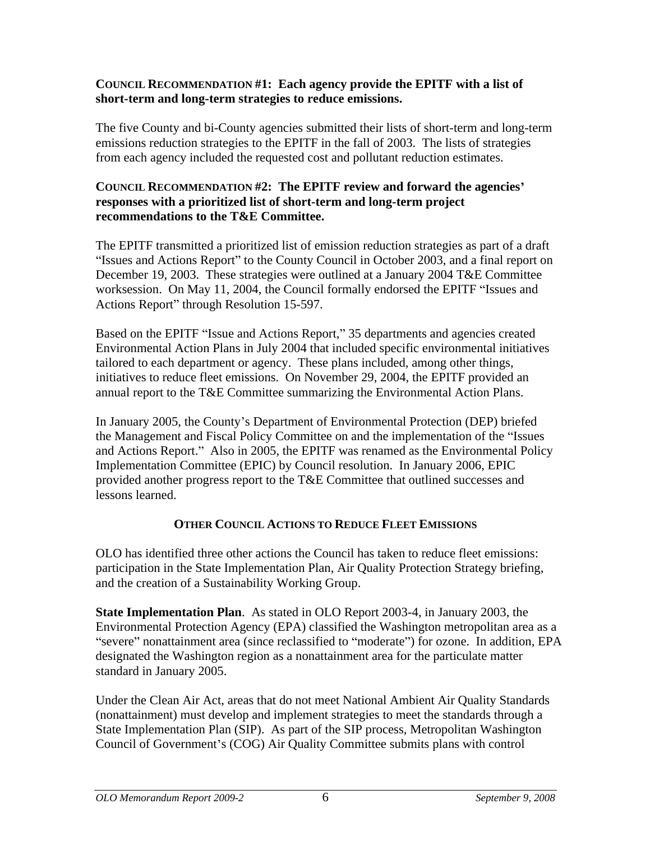#### **COUNCIL RECOMMENDATION #1: Each agency provide the EPITF with a list of short-term and long-term strategies to reduce emissions.**

The five County and bi-County agencies submitted their lists of short-term and long-term emissions reduction strategies to the EPITF in the fall of 2003. The lists of strategies from each agency included the requested cost and pollutant reduction estimates.

#### **COUNCIL RECOMMENDATION #2: The EPITF review and forward the agencies responses with a prioritized list of short-term and long-term project recommendations to the T&E Committee.**

The EPITF transmitted a prioritized list of emission reduction strategies as part of a draft "Issues and Actions Report" to the County Council in October 2003, and a final report on December 19, 2003. These strategies were outlined at a January 2004 T&E Committee worksession. On May 11, 2004, the Council formally endorsed the EPITF "Issues and Actions Report" through Resolution 15-597.

Based on the EPITF "Issue and Actions Report," 35 departments and agencies created Environmental Action Plans in July 2004 that included specific environmental initiatives tailored to each department or agency. These plans included, among other things, initiatives to reduce fleet emissions. On November 29, 2004, the EPITF provided an annual report to the T&E Committee summarizing the Environmental Action Plans.<br>In January 2005, the County's Department of Environmental Protection (DEP) briefed

the Management and Fiscal Policy Committee on and the implementation of the "Issues" and Actions Report." Also in 2005, the EPITF was renamed as the Environmental Policy Implementation Committee (EPIC) by Council resolution. In January 2006, EPIC provided another progress report to the T&E Committee that outlined successes and lessons learned.

## **OTHER COUNCIL ACTIONS TO REDUCE FLEET EMISSIONS**

OLO has identified three other actions the Council has taken to reduce fleet emissions: participation in the State Implementation Plan, Air Quality Protection Strategy briefing, and the creation of a Sustainability Working Group.

**State Implementation Plan**. As stated in OLO Report 2003-4, in January 2003, the Environmental Protection Agency (EPA) classified the Washington metropolitan area as a "severe" nonattainment area (since reclassified to "moderate") for ozone. In addition, EPA designated the Washington region as a nonattainment area for the particulate matter standard in January 2005.

Under the Clean Air Act, areas that do not meet National Ambient Air Quality Standards (nonattainment) must develop and implement strategies to meet the standards through a State Implementation Plan (SIP). As part of the SIP process, Metropolitan Washington Council of Government's (COG) Air Quality Committee submits plans with control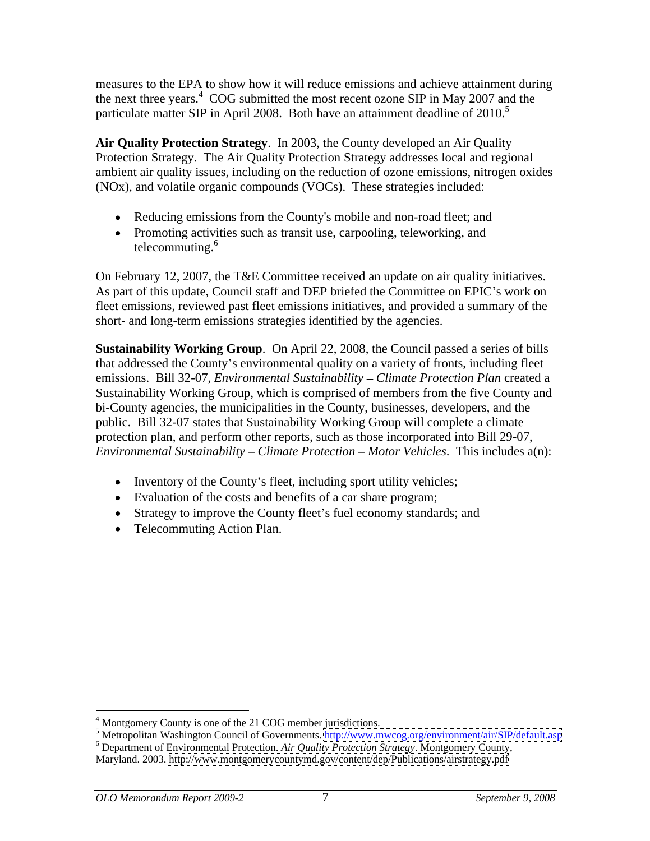measures to the EPA to show how it will reduce emissions and achieve attainment during the next three years.<sup>4</sup> COG submitted the most recent ozone SIP in May 2007 and the particulate matter SIP in April 2008. Both have an attainment deadline of 2010.<sup>5</sup>

**Air Quality Protection Strategy**. In 2003, the County developed an Air Quality Protection Strategy. The Air Quality Protection Strategy addresses local and regional ambient air quality issues, including on the reduction of ozone emissions, nitrogen oxides (NOx), and volatile organic compounds (VOCs). These strategies included:

- Reducing emissions from the County's mobile and non-road fleet; and
- Promoting activities such as transit use, carpooling, teleworking, and telecommuting.<sup>6</sup>

On February 12, 2007, the T&E Committee received an update on air quality initiatives. As part of this update, Council staff and DEP briefed the Committee on EPIC's work on fleet emissions, reviewed past fleet emissions initiatives, and provided a summary of the short- and long-term emissions strategies identified by the agencies.

**Sustainability Working Group**. On April 22, 2008, the Council passed a series of bills that addressed the County's environmental quality on a variety of fronts, including fleet emissions. Bill 32-07, *Environmental Sustainability Climate Protection Plan* created a Sustainability Working Group, which is comprised of members from the five County and bi-County agencies, the municipalities in the County, businesses, developers, and the public. Bill 32-07 states that Sustainability Working Group will complete a climate protection plan, and perform other reports, such as those incorporated into Bill 29-07, *Environmental Sustainability – Climate Protection – Motor Vehicles.* This includes a(n):

- $\bullet$  Inventory of the County's fleet, including sport utility vehicles;
- Evaluation of the costs and benefits of a car share program;
- Strategy to improve the County fleet's fuel economy standards; and
- Telecommuting Action Plan.

 $\frac{4 \text{ Montgomery}}{4 \cdot \text{Matrix}}$  can of the 21 COG member invisitions

<sup>&</sup>lt;sup>4</sup> Montgomery County is one of the 21 COG member jurisdictions.<br><sup>5</sup> Metropolitan Washington Council of Governments. <u>http://www.mwcog.org/environment/air/SIP/default.asp</u>

<sup>6</sup> Department of Environmental Protection. *Air Quality Protection Strategy*. Montgomery County, Maryland. 2003.<http://www.montgomerycountymd.gov/content/dep/Publications/airstrategy.pdf>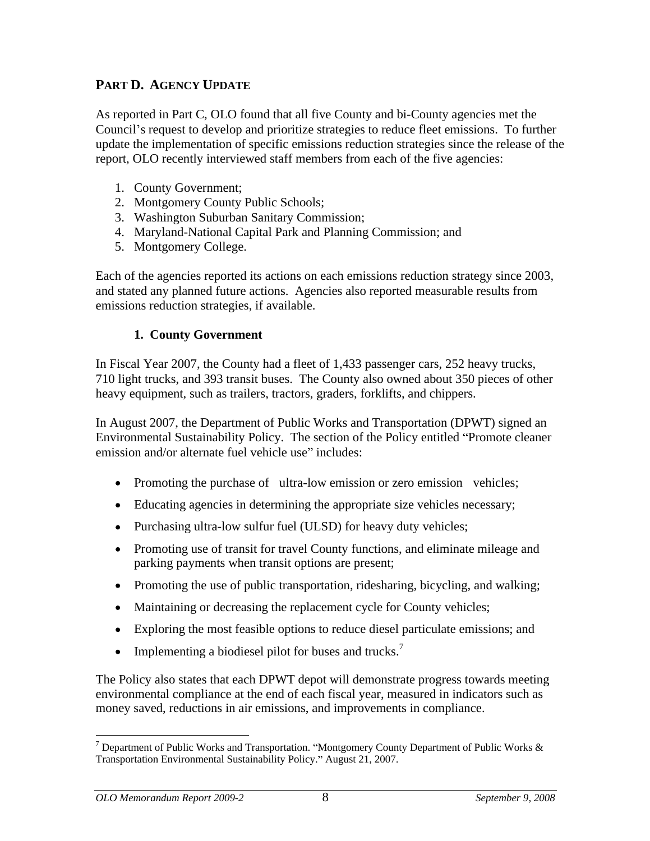## **PART D. AGENCY UPDATE**

As reported in Part C, OLO found that all five County and bi-County agencies met the Council's request to develop and prioritize strategies to reduce fleet emissions. To further update the implementation of specific emissions reduction strategies since the release of the report, OLO recently interviewed staff members from each of the five agencies:

- 1. County Government;
- 2. Montgomery County Public Schools;
- 3. Washington Suburban Sanitary Commission;
- 4. Maryland-National Capital Park and Planning Commission; and
- 5. Montgomery College.

Each of the agencies reported its actions on each emissions reduction strategy since 2003, and stated any planned future actions. Agencies also reported measurable results from emissions reduction strategies, if available.

**1. County Government**<br>In Fiscal Year 2007, the County had a fleet of 1,433 passenger cars, 252 heavy trucks, 710 light trucks, and 393 transit buses. The County also owned about 350 pieces of other heavy equipment, such as trailers, tractors, graders, forklifts, and chippers.

In August 2007, the Department of Public Works and Transportation (DPWT) signed an Environmental Sustainability Policy. The section of the Policy entitled "Promote cleaner emission and/or alternate fuel vehicle use" includes:

- Promoting the purchase of ultra-low emission or zero emission vehicles;
- Educating agencies in determining the appropriate size vehicles necessary;
- Purchasing ultra-low sulfur fuel (ULSD) for heavy duty vehicles;
- Promoting use of transit for travel County functions, and eliminate mileage and parking payments when transit options are present;
- Promoting the use of public transportation, ridesharing, bicycling, and walking;
- Maintaining or decreasing the replacement cycle for County vehicles;
- Exploring the most feasible options to reduce diesel particulate emissions; and
- Implementing a biodiesel pilot for buses and trucks.<sup>7</sup>  $\bullet$

The Policy also states that each DPWT depot will demonstrate progress towards meeting environmental compliance at the end of each fiscal year, measured in indicators such as money saved, reductions in air emissions, and improvements in compliance.

<sup>&</sup>lt;sup>7</sup> Department of Public Works and Transportation. "Montgomery County Department of Public Works  $\&$ Transportation Environmental Sustainability Policy." August 21, 2007.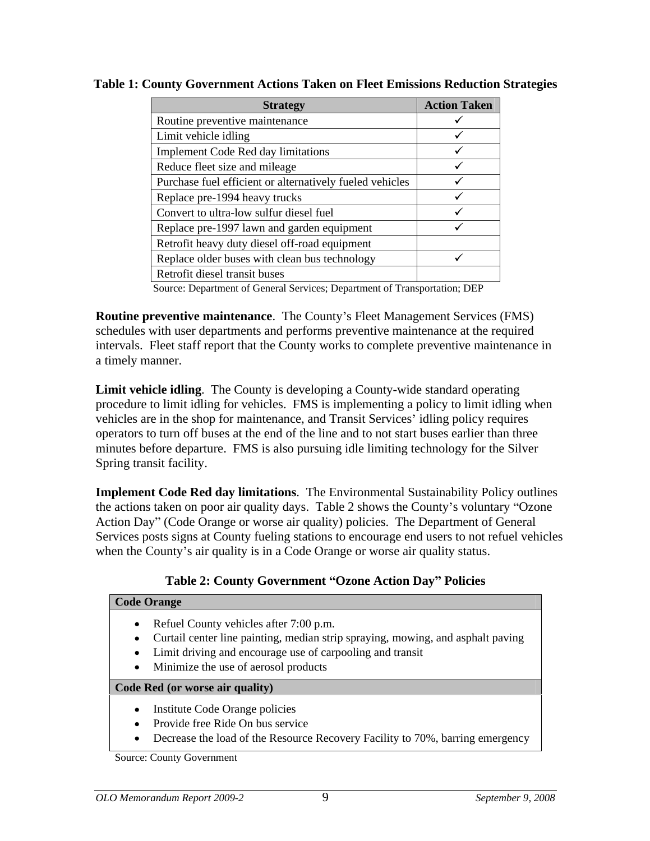| Routine preventive maintenance                           |  |
|----------------------------------------------------------|--|
|                                                          |  |
| Limit vehicle idling                                     |  |
| Implement Code Red day limitations                       |  |
| Reduce fleet size and mileage                            |  |
| Purchase fuel efficient or alternatively fueled vehicles |  |
| Replace pre-1994 heavy trucks                            |  |
| Convert to ultra-low sulfur diesel fuel                  |  |
| Replace pre-1997 lawn and garden equipment               |  |
| Retrofit heavy duty diesel off-road equipment            |  |
| Replace older buses with clean bus technology            |  |
| Retrofit diesel transit buses                            |  |

**Table 1: County Government Actions Taken on Fleet Emissions Reduction Strategies**

Source: Department of General Services; Department of Transportation; DEP

**Routine preventive maintenance.** The County's Fleet Management Services (FMS) schedules with user departments and performs preventive maintenance at the required intervals. Fleet staff report that the County works to complete preventive maintenance in a timely manner.

**Limit vehicle idling**. The County is developing a County-wide standard operating procedure to limit idling for vehicles. FMS is implementing a policy to limit idling when vehicles are in the shop for maintenance, and Transit Services idling policy requires operators to turn off buses at the end of the line and to not start buses earlier than three minutes before departure. FMS is also pursuing idle limiting technology for the Silver Spring transit facility.

**Implement Code Red day limitations**. The Environmental Sustainability Policy outlines the actions taken on poor air quality days. Table 2 shows the County's voluntary "Ozone" Action Day" (Code Orange or worse air quality) policies. The Department of General Services posts signs at County fueling stations to encourage end users to not refuel vehicles when the County's air quality is in a Code Orange or worse air quality status.

| <b>Code Orange</b>                                                                                                                                                                                                             |
|--------------------------------------------------------------------------------------------------------------------------------------------------------------------------------------------------------------------------------|
| Refuel County vehicles after 7:00 p.m.<br>Curtail center line painting, median strip spraying, mowing, and asphalt paving<br>Limit driving and encourage use of carpooling and transit<br>Minimize the use of aerosol products |
| Code Red (or worse air quality)                                                                                                                                                                                                |
| Institute Code Orange policies<br>Provide free Ride On bus service<br>Decrease the load of the Resource Recovery Facility to 70%, barring emergency                                                                            |

### Table 2: County Government "Ozone Action Day" Policies

Source: County Government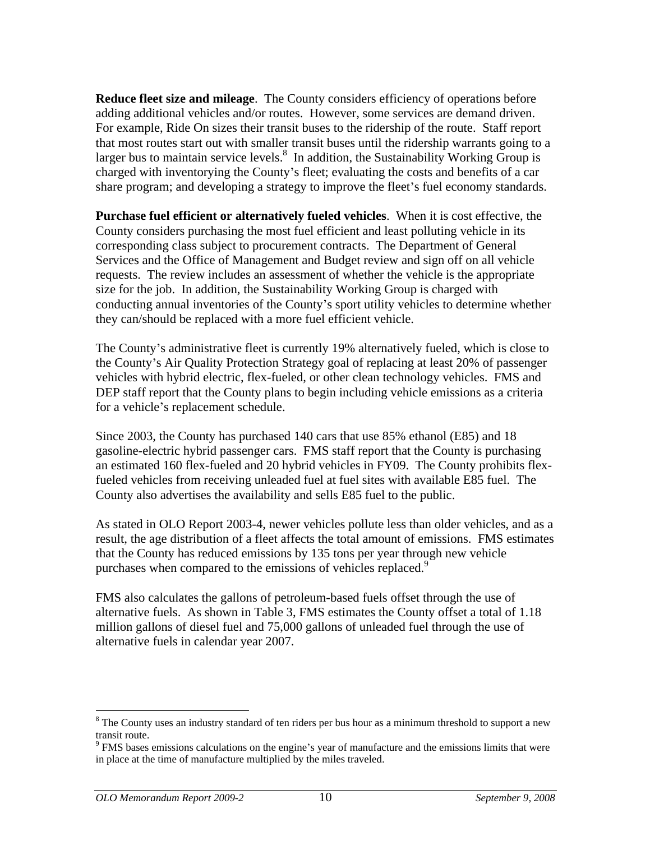**Reduce fleet size and mileage**. The County considers efficiency of operations before adding additional vehicles and/or routes. However, some services are demand driven. For example, Ride On sizes their transit buses to the ridership of the route. Staff report that most routes start out with smaller transit buses until the ridership warrants going to a larger bus to maintain service levels.<sup>8</sup> In addition, the Sustainability Working Group is charged with inventorying the County's fleet; evaluating the costs and benefits of a car share program; and developing a strategy to improve the fleet's fuel economy standards.

**Purchase fuel efficient or alternatively fueled vehicles**. When it is cost effective, the County considers purchasing the most fuel efficient and least polluting vehicle in its corresponding class subject to procurement contracts. The Department of General Services and the Office of Management and Budget review and sign off on all vehicle requests. The review includes an assessment of whether the vehicle is the appropriate size for the job. In addition, the Sustainability Working Group is charged with conducting annual inventories of the County's sport utility vehicles to determine whether they can/should be replaced with a more fuel efficient vehicle.

The County's administrative fleet is currently 19% alternatively fueled, which is close to the County's Air Quality Protection Strategy goal of replacing at least 20% of passenger vehicles with hybrid electric, flex-fueled, or other clean technology vehicles. FMS and DEP staff report that the County plans to begin including vehicle emissions as a criteria for a vehicle's replacement schedule.

Since 2003, the County has purchased 140 cars that use 85% ethanol (E85) and 18 gasoline-electric hybrid passenger cars. FMS staff report that the County is purchasing an estimated 160 flex-fueled and 20 hybrid vehicles in FY09. The County prohibits flexfueled vehicles from receiving unleaded fuel at fuel sites with available E85 fuel. The County also advertises the availability and sells E85 fuel to the public. As stated in OLO Report 2003-4, newer vehicles pollute less than older vehicles, and as a

result, the age distribution of a fleet affects the total amount of emissions. FMS estimates that the County has reduced emissions by 135 tons per year through new vehicle purchases when compared to the emissions of vehicles replaced.<sup>9</sup>

FMS also calculates the gallons of petroleum-based fuels offset through the use of alternative fuels. As shown in Table 3, FMS estimates the County offset a total of 1.18 million gallons of diesel fuel and 75,000 gallons of unleaded fuel through the use of alternative fuels in calendar year 2007.

<sup>&</sup>lt;sup>8</sup> The County uses an industry standard of ten riders per bus hour as a minimum threshold to support a new transit route.<br><sup>9</sup> FMS bases emissions calculations on the engine's year of manufacture and the emissions limits that were

in place at the time of manufacture multiplied by the miles traveled.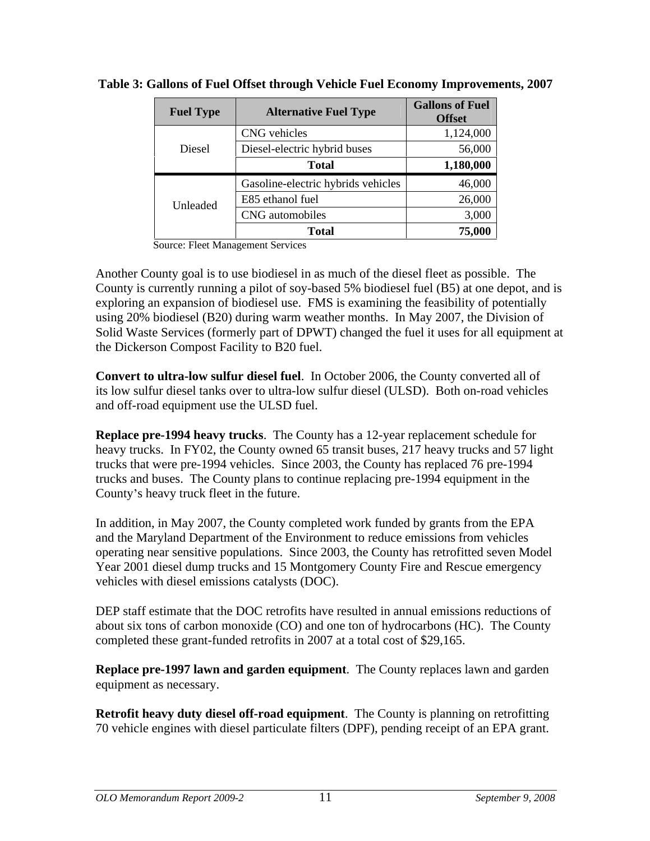| <b>Fuel Type</b> | <b>Alternative Fuel Type</b>       | <b>Gallons of Fuel</b><br><b>Offset</b> |
|------------------|------------------------------------|-----------------------------------------|
|                  | CNG vehicles                       | $1,124,000$ <sup>1</sup>                |
| Diesel           | Diesel-electric hybrid buses       | 56,000                                  |
|                  | <b>Total</b>                       | 1,180,000                               |
|                  | Gasoline-electric hybrids vehicles | 46,000                                  |
| Unleaded         | E85 ethanol fuel                   | 26,000                                  |
|                  | CNG automobiles                    | 3,000                                   |
|                  | <b>Total</b>                       | 75,000                                  |

**Table 3: Gallons of Fuel Offset through Vehicle Fuel Economy Improvements, 2007**

Source: Fleet Management Services

Another County goal is to use biodiesel in as much of the diesel fleet as possible. The County is currently running a pilot of soy-based 5% biodiesel fuel (B5) at one depot, and is exploring an expansion of biodiesel use. FMS is examining the feasibility of potentially using 20% biodiesel (B20) during warm weather months. In May 2007, the Division of Solid Waste Services (formerly part of DPWT) changed the fuel it uses for all equipment at the Dickerson Compost Facility to B20 fuel.

**Convert to ultra-low sulfur diesel fuel**. In October 2006, the County converted all of its low sulfur diesel tanks over to ultra-low sulfur diesel (ULSD). Both on-road vehicles and off-road equipment use the ULSD fuel.

**Replace pre-1994 heavy trucks**. The County has a 12-year replacement schedule for heavy trucks. In FY02, the County owned 65 transit buses, 217 heavy trucks and 57 light trucks that were pre-1994 vehicles. Since 2003, the County has replaced 76 pre-1994 trucks and buses. The County plans to continue replacing pre-1994 equipment in the County's heavy truck fleet in the future.

In addition, in May 2007, the County completed work funded by grants from the EPA and the Maryland Department of the Environment to reduce emissions from vehicles operating near sensitive populations. Since 2003, the County has retrofitted seven Model Year 2001 diesel dump trucks and 15 Montgomery County Fire and Rescue emergency vehicles with diesel emissions catalysts (DOC).

DEP staff estimate that the DOC retrofits have resulted in annual emissions reductions of about six tons of carbon monoxide (CO) and one ton of hydrocarbons (HC). The County completed these grant-funded retrofits in 2007 at a total cost of \$29,165.

**Replace pre-1997 lawn and garden equipment**. The County replaces lawn and garden equipment as necessary.

**Retrofit heavy duty diesel off-road equipment**. The County is planning on retrofitting 70 vehicle engines with diesel particulate filters (DPF), pending receipt of an EPA grant.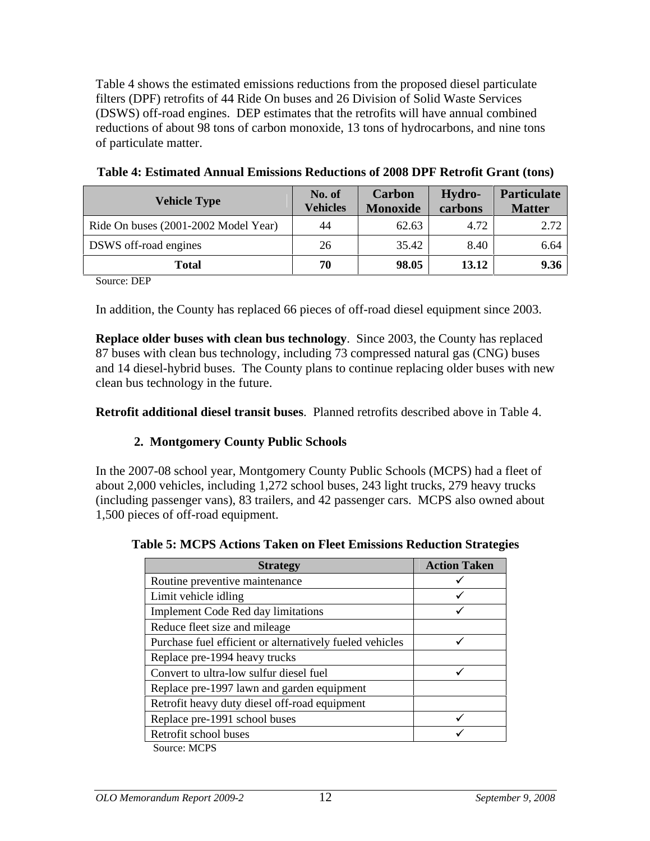Table 4 shows the estimated emissions reductions from the proposed diesel particulate filters (DPF) retrofits of 44 Ride On buses and 26 Division of Solid Waste Services (DSWS) off-road engines. DEP estimates that the retrofits will have annual combined reductions of about 98 tons of carbon monoxide, 13 tons of hydrocarbons, and nine tons of particulate matter.

| <b>Vehicle Type</b>                  | No. of<br><b>Vehicles</b> | Carbon<br>Monoxide | Hydro-      | Particulate<br><b>Matter</b> |
|--------------------------------------|---------------------------|--------------------|-------------|------------------------------|
|                                      |                           |                    | carbons     |                              |
| Ride On buses (2001-2002 Model Year) | 44                        | 62.63              | 1.72<br>.12 | 2.72                         |
| DSWS off-road engines                | ∠∪                        | 35.42              | 8.40        | 6.64                         |
| <b>Total</b>                         | $\overline{H}$            | 98.05              | 13.12       | 9.36                         |

| Table 4: Estimated Annual Emissions Reductions of 2008 DPF Retrofit Gra<br><b><i>ofit Grant (tons)</i></b> |  |
|------------------------------------------------------------------------------------------------------------|--|
|------------------------------------------------------------------------------------------------------------|--|

Source: DEP

In addition, the County has replaced 66 pieces of off-road diesel equipment since 2003.

**Replace older buses with clean bus technology**. Since 2003, the County has replaced 87 buses with clean bus technology, including 73 compressed natural gas (CNG) buses and 14 diesel-hybrid buses. The County plans to continue replacing older buses with new clean bus technology in the future.

**Retrofit additional diesel transit buses**. Planned retrofits described above in Table 4.

### **2. Montgomery County Public Schools**

In the 2007-08 school year, Montgomery County Public Schools (MCPS) had a fleet of about 2,000 vehicles, including 1,272 school buses, 243 light trucks, 279 heavy trucks (including passenger vans), 83 trailers, and 42 passenger cars. MCPS also owned about 1,500 pieces of off-road equipment.

| <b>Table 5: MCPS Actions Taken on Fleet Emissions Reduction Strategies</b> |  |
|----------------------------------------------------------------------------|--|
|                                                                            |  |

| <b>Strategy</b>                                          | <b>Action Taken</b> |
|----------------------------------------------------------|---------------------|
| Routine preventive maintenance                           |                     |
| Limit vehicle idling                                     |                     |
| Implement Code Red day limitations                       |                     |
| Reduce fleet size and mileage                            |                     |
| Purchase fuel efficient or alternatively fueled vehicles |                     |
| Replace pre-1994 heavy trucks                            |                     |
| Convert to ultra-low sulfur diesel fuel                  |                     |
| Replace pre-1997 lawn and garden equipment               |                     |
| Retrofit heavy duty diesel off-road equipment            |                     |
| Replace pre-1991 school buses                            |                     |
| Retrofit school buses                                    |                     |
| $C_{\text{oumon}}$ $MCDC$                                |                     |

Source: MCPS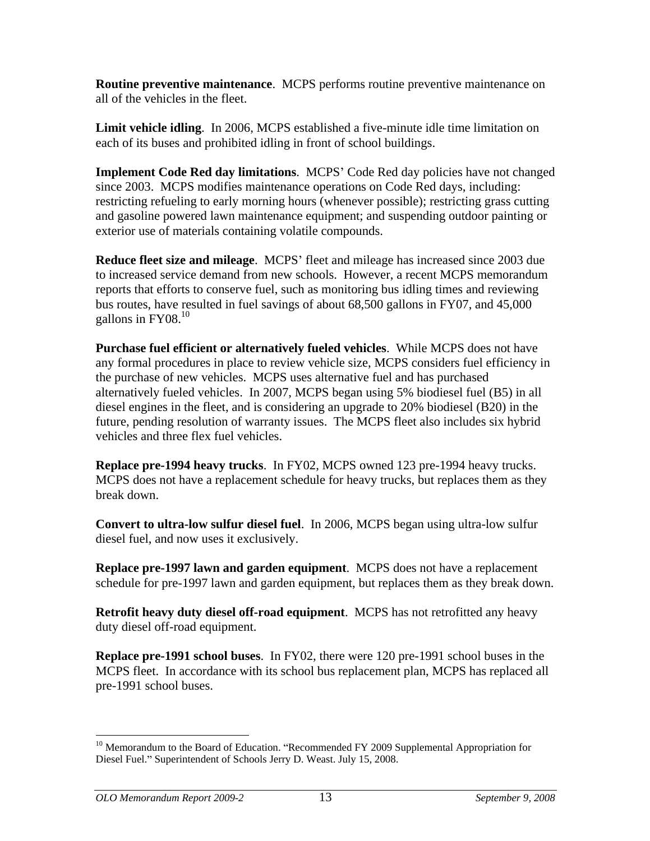**Routine preventive maintenance**. MCPS performs routine preventive maintenance on all of the vehicles in the fleet.

**Limit vehicle idling**. In 2006, MCPS established a five-minute idle time limitation on each of its buses and prohibited idling in front of school buildings.

**Implement Code Red day limitations.** MCPS' Code Red day policies have not changed since 2003. MCPS modifies maintenance operations on Code Red days, including: restricting refueling to early morning hours (whenever possible); restricting grass cutting and gasoline powered lawn maintenance equipment; and suspending outdoor painting or exterior use of materials containing volatile compounds.

**Reduce fleet size and mileage.** MCPS' fleet and mileage has increased since 2003 due to increased service demand from new schools. However, a recent MCPS memorandum reports that efforts to conserve fuel, such as monitoring bus idling times and reviewing bus routes, have resulted in fuel savings of about 68,500 gallons in FY07, and 45,000 gallons in  $FY08<sup>10</sup>$ 

**Purchase fuel efficient or alternatively fueled vehicles**. While MCPS does not have any formal procedures in place to review vehicle size, MCPS considers fuel efficiency in the purchase of new vehicles. MCPS uses alternative fuel and has purchased alternatively fueled vehicles. In 2007, MCPS began using 5% biodiesel fuel (B5) in all diesel engines in the fleet, and is considering an upgrade to 20% biodiesel (B20) in the future, pending resolution of warranty issues. The MCPS fleet also includes six hybrid vehicles and three flex fuel vehicles.

**Replace pre-1994 heavy trucks**. In FY02, MCPS owned 123 pre-1994 heavy trucks. MCPS does not have a replacement schedule for heavy trucks, but replaces them as they break down.

**Convert to ultra-low sulfur diesel fuel**. In 2006, MCPS began using ultra-low sulfur diesel fuel, and now uses it exclusively.

**Replace pre-1997 lawn and garden equipment**. MCPS does not have a replacement schedule for pre-1997 lawn and garden equipment, but replaces them as they break down.

**Retrofit heavy duty diesel off-road equipment**. MCPS has not retrofitted any heavy duty diesel off-road equipment.

**Replace pre-1991 school buses**. In FY02, there were 120 pre-1991 school buses in the MCPS fleet. In accordance with its school bus replacement plan, MCPS has replaced all pre-1991 school buses.

 $10$  Memorandum to the Board of Education. "Recommended FY 2009 Supplemental Appropriation for Diesel Fuel." Superintendent of Schools Jerry D. Weast. July 15, 2008.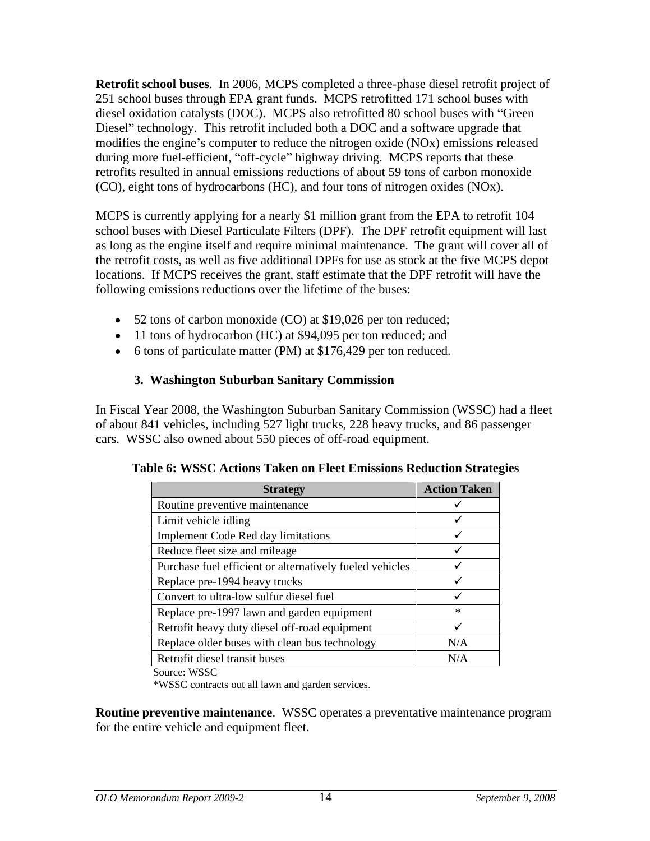**Retrofit school buses**. In 2006, MCPS completed a three-phase diesel retrofit project of 251 school buses through EPA grant funds. MCPS retrofitted 171 school buses with diesel oxidation catalysts (DOC). MCPS also retrofitted 80 school buses with "Green Diesel" technology. This retrofit included both a DOC and a software upgrade that modifies the engine's computer to reduce the nitrogen oxide  $(NOx)$  emissions released during more fuel-efficient, "off-cycle" highway driving. MCPS reports that these retrofits resulted in annual emissions reductions of about 59 tons of carbon monoxide (CO), eight tons of hydrocarbons (HC), and four tons of nitrogen oxides (NOx).

MCPS is currently applying for a nearly \$1 million grant from the EPA to retrofit 104 school buses with Diesel Particulate Filters (DPF). The DPF retrofit equipment will last as long as the engine itself and require minimal maintenance. The grant will cover all of the retrofit costs, as well as five additional DPFs for use as stock at the five MCPS depot locations. If MCPS receives the grant, staff estimate that the DPF retrofit will have the following emissions reductions over the lifetime of the buses:

- 52 tons of carbon monoxide (CO) at \$19,026 per ton reduced;
- 11 tons of hydrocarbon (HC) at \$94,095 per ton reduced; and
- 6 tons of particulate matter (PM) at \$176,429 per ton reduced.

## **3. Washington Suburban Sanitary Commission**

In Fiscal Year 2008, the Washington Suburban Sanitary Commission (WSSC) had a fleet of about 841 vehicles, including 527 light trucks, 228 heavy trucks, and 86 passenger cars. WSSC also owned about 550 pieces of off-road equipment.

| <b>Strategy</b>                                          | <b>Action Taken</b> |
|----------------------------------------------------------|---------------------|
| Routine preventive maintenance                           |                     |
| Limit vehicle idling                                     |                     |
| Implement Code Red day limitations                       |                     |
| Reduce fleet size and mileage                            |                     |
| Purchase fuel efficient or alternatively fueled vehicles |                     |
| Replace pre-1994 heavy trucks                            |                     |
| Convert to ultra-low sulfur diesel fuel                  |                     |
| Replace pre-1997 lawn and garden equipment               |                     |
| Retrofit heavy duty diesel off-road equipment            |                     |
| Replace older buses with clean bus technology            | N/A                 |
| Retrofit diesel transit buses                            | N/A                 |
| Source: WSSC                                             |                     |

| Table 6: WSSC<br>s Reduction Strategies<br><b>non Fleet Emissions J</b><br><b>Actions Taken</b> |  |
|-------------------------------------------------------------------------------------------------|--|
|-------------------------------------------------------------------------------------------------|--|

\*WSSC contracts out all lawn and garden services.

**Routine preventive maintenance**. WSSC operates a preventative maintenance program for the entire vehicle and equipment fleet.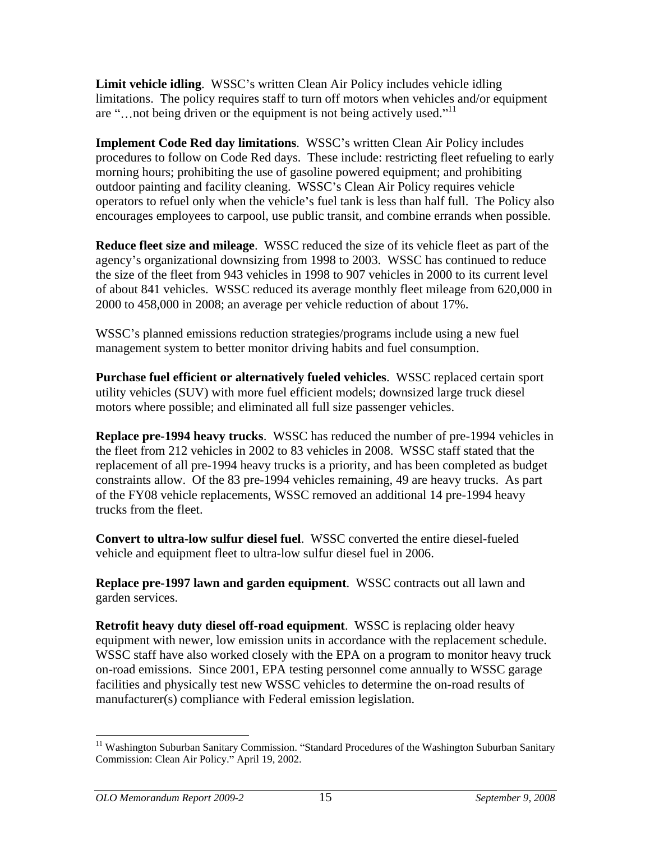**Limit vehicle idling.** WSSC's written Clean Air Policy includes vehicle idling limitations. The policy requires staff to turn off motors when vehicles and/or equipment are "... not being driven or the equipment is not being actively used."<sup>11</sup>

**Implement Code Red day limitations.** WSSC's written Clean Air Policy includes procedures to follow on Code Red days. These include: restricting fleet refueling to early morning hours; prohibiting the use of gasoline powered equipment; and prohibiting outdoor painting and facility cleaning. WSSC s Clean Air Policy requires vehicle operators to refuel only when the vehicle's fuel tank is less than half full. The Policy also encourages employees to carpool, use public transit, and combine errands when possible.

**Reduce fleet size and mileage**. WSSC reduced the size of its vehicle fleet as part of the agency's organizational downsizing from 1998 to 2003. WSSC has continued to reduce the size of the fleet from 943 vehicles in 1998 to 907 vehicles in 2000 to its current level of about 841 vehicles. WSSC reduced its average monthly fleet mileage from 620,000 in 2000 to 458,000 in 2008; an average per vehicle reduction of about 17%.

WSSC's planned emissions reduction strategies/programs include using a new fuel management system to better monitor driving habits and fuel consumption.

**Purchase fuel efficient or alternatively fueled vehicles**. WSSC replaced certain sport utility vehicles (SUV) with more fuel efficient models; downsized large truck diesel motors where possible; and eliminated all full size passenger vehicles.

**Replace pre-1994 heavy trucks**. WSSC has reduced the number of pre-1994 vehicles in the fleet from 212 vehicles in 2002 to 83 vehicles in 2008. WSSC staff stated that the replacement of all pre-1994 heavy trucks is a priority, and has been completed as budget constraints allow. Of the 83 pre-1994 vehicles remaining, 49 are heavy trucks. As part of the FY08 vehicle replacements, WSSC removed an additional 14 pre-1994 heavy trucks from the fleet.

**Convert to ultra-low sulfur diesel fuel**. WSSC converted the entire diesel-fueled vehicle and equipment fleet to ultra-low sulfur diesel fuel in 2006.

**Replace pre-1997 lawn and garden equipment**. WSSC contracts out all lawn and garden services.

**Retrofit heavy duty diesel off-road equipment**. WSSC is replacing older heavy equipment with newer, low emission units in accordance with the replacement schedule. WSSC staff have also worked closely with the EPA on a program to monitor heavy truck on-road emissions. Since 2001, EPA testing personnel come annually to WSSC garage facilities and physically test new WSSC vehicles to determine the on-road results of manufacturer(s) compliance with Federal emission legislation.

 $11$  Washington Suburban Sanitary Commission. "Standard Procedures of the Washington Suburban Sanitary Commission: Clean Air Policy." April 19, 2002.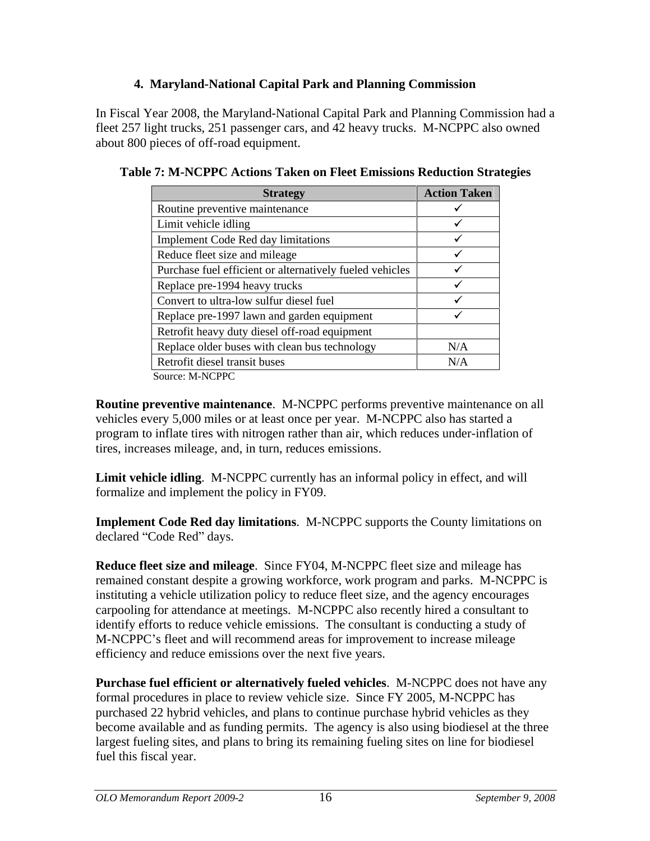## **4. Maryland-National Capital Park and Planning Commission**

In Fiscal Year 2008, the Maryland-National Capital Park and Planning Commission had a fleet 257 light trucks, 251 passenger cars, and 42 heavy trucks. M-NCPPC also owned about 800 pieces of off-road equipment.

| <b>Strategy</b>                                          | <b>Action Taken</b> |
|----------------------------------------------------------|---------------------|
| Routine preventive maintenance                           |                     |
| Limit vehicle idling                                     |                     |
| Implement Code Red day limitations                       |                     |
| Reduce fleet size and mileage                            |                     |
| Purchase fuel efficient or alternatively fueled vehicles |                     |
| Replace pre-1994 heavy trucks                            |                     |
| Convert to ultra-low sulfur diesel fuel                  |                     |
| Replace pre-1997 lawn and garden equipment               |                     |
| Retrofit heavy duty diesel off-road equipment            |                     |
| Replace older buses with clean bus technology            | N/A                 |
| Retrofit diesel transit buses                            | N/A                 |
| Source: M-NCPPC                                          |                     |

**Table 7: M-NCPPC Actions Taken on Fleet Emissions Reduction Strategies**

**Routine preventive maintenance**. M-NCPPC performs preventive maintenance on all vehicles every 5,000 miles or at least once per year. M-NCPPC also has started a program to inflate tires with nitrogen rather than air, which reduces under-inflation of tires, increases mileage, and, in turn, reduces emissions.

**Limit vehicle idling**. M-NCPPC currently has an informal policy in effect, and will formalize and implement the policy in FY09.

**Implement Code Red day limitations**. M-NCPPC supports the County limitations on declared "Code Red" days.

**Reduce fleet size and mileage**. Since FY04, M-NCPPC fleet size and mileage has remained constant despite a growing workforce, work program and parks. M-NCPPC is instituting a vehicle utilization policy to reduce fleet size, and the agency encourages carpooling for attendance at meetings. M-NCPPC also recently hired a consultant to identify efforts to reduce vehicle emissions. The consultant is conducting a study of M-NCPPC's fleet and will recommend areas for improvement to increase mileage efficiency and reduce emissions over the next five years.

**Purchase fuel efficient or alternatively fueled vehicles**. M-NCPPC does not have any formal procedures in place to review vehicle size. Since FY 2005, M-NCPPC has purchased 22 hybrid vehicles, and plans to continue purchase hybrid vehicles as they become available and as funding permits. The agency is also using biodiesel at the three largest fueling sites, and plans to bring its remaining fueling sites on line for biodiesel fuel this fiscal year.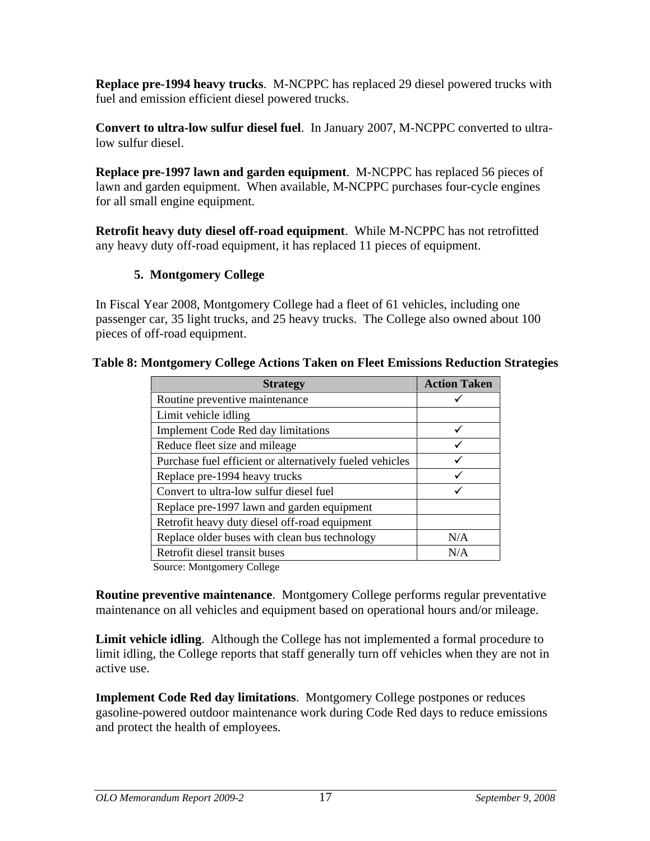**Replace pre-1994 heavy trucks**. M-NCPPC has replaced 29 diesel powered trucks with fuel and emission efficient diesel powered trucks.

**Convert to ultra-low sulfur diesel fuel**. In January 2007, M-NCPPC converted to ultralow sulfur diesel.

**Replace pre-1997 lawn and garden equipment**. M-NCPPC has replaced 56 pieces of lawn and garden equipment. When available, M-NCPPC purchases four-cycle engines for all small engine equipment.

**Retrofit heavy duty diesel off-road equipment**. While M-NCPPC has not retrofitted any heavy duty off-road equipment, it has replaced 11 pieces of equipment.

## **5. Montgomery College**

In Fiscal Year 2008, Montgomery College had a fleet of 61 vehicles, including one passenger car, 35 light trucks, and 25 heavy trucks. The College also owned about 100 pieces of off-road equipment.

| <b>Strategy</b>                                             | <b>Action Taken</b> |
|-------------------------------------------------------------|---------------------|
| Routine preventive maintenance                              |                     |
| Limit vehicle idling                                        |                     |
| Implement Code Red day limitations                          |                     |
| Reduce fleet size and mileage                               |                     |
| Purchase fuel efficient or alternatively fueled vehicles    |                     |
| Replace pre-1994 heavy trucks                               |                     |
| Convert to ultra-low sulfur diesel fuel                     |                     |
| Replace pre-1997 lawn and garden equipment                  |                     |
| Retrofit heavy duty diesel off-road equipment               |                     |
| Replace older buses with clean bus technology               | N/A                 |
| Retrofit diesel transit buses                               | N/A                 |
| 그는 그 사람들은 그 그 사람들은 그 사람들을 하고 있다. 그는 그 그는 그 그는 그 사람들을 하고 있다. |                     |

# **Table 8: Montgomery College Actions Taken on Fleet Emissions Reduction Strategies**

Source: Montgomery College

**Routine preventive maintenance**. Montgomery College performs regular preventative maintenance on all vehicles and equipment based on operational hours and/or mileage.

**Limit vehicle idling**. Although the College has not implemented a formal procedure to limit idling, the College reports that staff generally turn off vehicles when they are not in active use.

**Implement Code Red day limitations**. Montgomery College postpones or reduces gasoline-powered outdoor maintenance work during Code Red days to reduce emissions and protect the health of employees.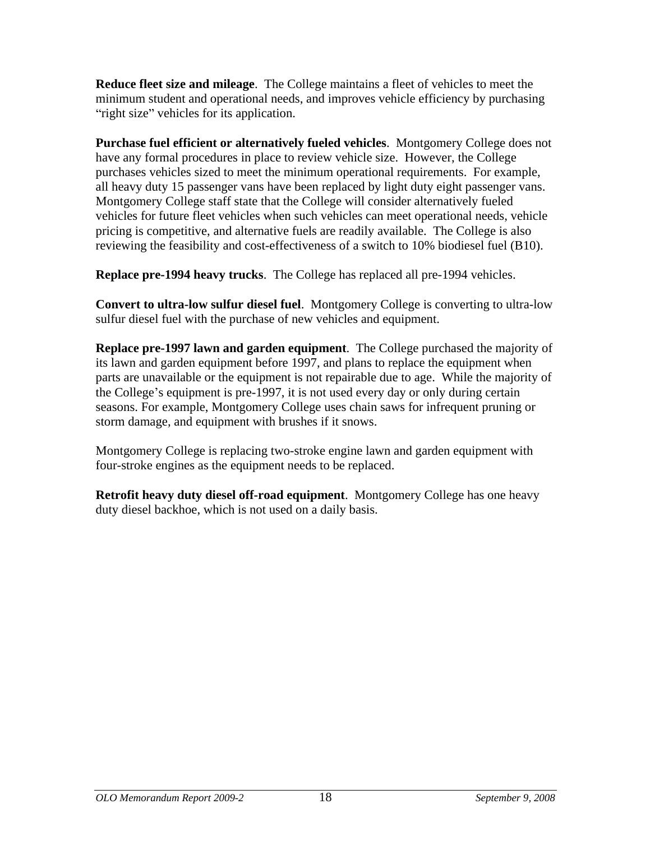**Reduce fleet size and mileage**. The College maintains a fleet of vehicles to meet the minimum student and operational needs, and improves vehicle efficiency by purchasing "right size" vehicles for its application.

**Purchase fuel efficient or alternatively fueled vehicles**. Montgomery College does not have any formal procedures in place to review vehicle size. However, the College purchases vehicles sized to meet the minimum operational requirements. For example, all heavy duty 15 passenger vans have been replaced by light duty eight passenger vans. Montgomery College staff state that the College will consider alternatively fueled vehicles for future fleet vehicles when such vehicles can meet operational needs, vehicle pricing is competitive, and alternative fuels are readily available. The College is also reviewing the feasibility and cost-effectiveness of a switch to 10% biodiesel fuel (B10).

**Replace pre-1994 heavy trucks**. The College has replaced all pre-1994 vehicles.

**Convert to ultra-low sulfur diesel fuel**. Montgomery College is converting to ultra-low sulfur diesel fuel with the purchase of new vehicles and equipment.

**Replace pre-1997 lawn and garden equipment**. The College purchased the majority of its lawn and garden equipment before 1997, and plans to replace the equipment when parts are unavailable or the equipment is not repairable due to age. While the majority of the College's equipment is pre-1997, it is not used every day or only during certain seasons. For example, Montgomery College uses chain saws for infrequent pruning or storm damage, and equipment with brushes if it snows.

Montgomery College is replacing two-stroke engine lawn and garden equipment with four-stroke engines as the equipment needs to be replaced.

**Retrofit heavy duty diesel off-road equipment**. Montgomery College has one heavy duty diesel backhoe, which is not used on a daily basis.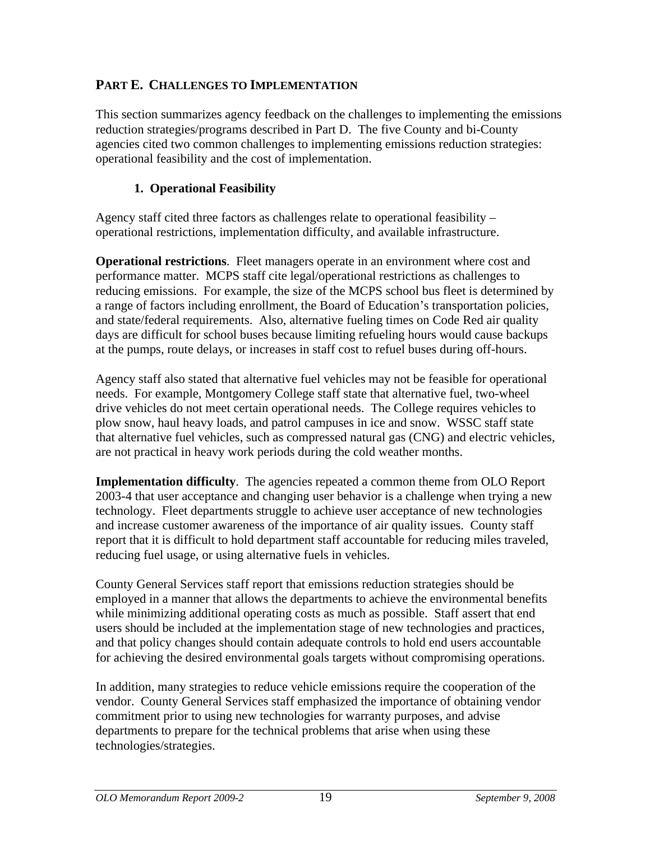## **PART E. CHALLENGES TO IMPLEMENTATION**

This section summarizes agency feedback on the challenges to implementing the emissions reduction strategies/programs described in Part D. The five County and bi-County agencies cited two common challenges to implementing emissions reduction strategies: operational feasibility and the cost of implementation.

## **1. Operational Feasibility**

Agency staff cited three factors as challenges relate to operational feasibility operational restrictions, implementation difficulty, and available infrastructure.

**Operational restrictions**. Fleet managers operate in an environment where cost and performance matter. MCPS staff cite legal/operational restrictions as challenges to reducing emissions. For example, the size of the MCPS school bus fleet is determined by a range of factors including enrollment, the Board of Education's transportation policies, and state/federal requirements. Also, alternative fueling times on Code Red air quality days are difficult for school buses because limiting refueling hours would cause backups at the pumps, route delays, or increases in staff cost to refuel buses during off-hours.

Agency staff also stated that alternative fuel vehicles may not be feasible for operational needs. For example, Montgomery College staff state that alternative fuel, two-wheel drive vehicles do not meet certain operational needs. The College requires vehicles to plow snow, haul heavy loads, and patrol campuses in ice and snow. WSSC staff state that alternative fuel vehicles, such as compressed natural gas (CNG) and electric vehicles, are not practical in heavy work periods during the cold weather months.

**Implementation difficulty**. The agencies repeated a common theme from OLO Report 2003-4 that user acceptance and changing user behavior is a challenge when trying a new technology. Fleet departments struggle to achieve user acceptance of new technologies and increase customer awareness of the importance of air quality issues. County staff report that it is difficult to hold department staff accountable for reducing miles traveled, reducing fuel usage, or using alternative fuels in vehicles.

County General Services staff report that emissions reduction strategies should be employed in a manner that allows the departments to achieve the environmental benefits while minimizing additional operating costs as much as possible. Staff assert that end users should be included at the implementation stage of new technologies and practices, and that policy changes should contain adequate controls to hold end users accountable for achieving the desired environmental goals targets without compromising operations.

In addition, many strategies to reduce vehicle emissions require the cooperation of the vendor. County General Services staff emphasized the importance of obtaining vendor commitment prior to using new technologies for warranty purposes, and advise departments to prepare for the technical problems that arise when using these technologies/strategies.